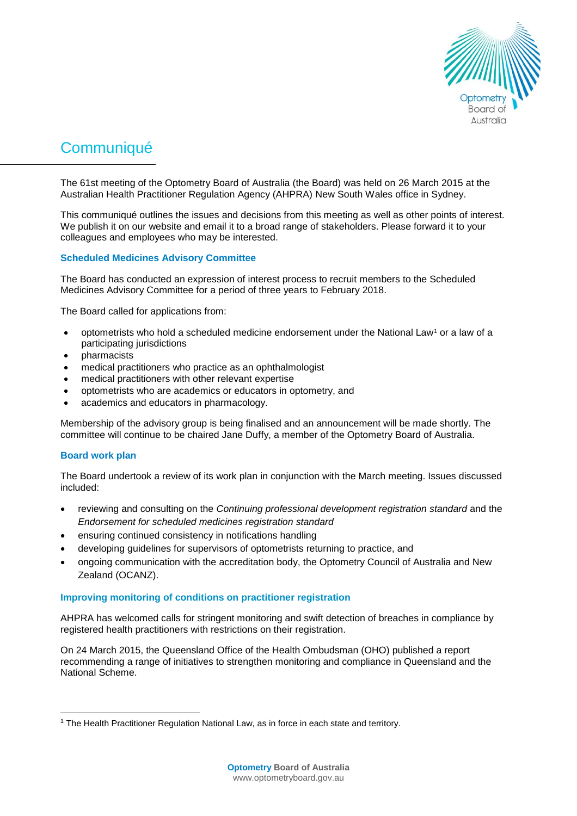

# **Communiqué**

The 61st meeting of the Optometry Board of Australia (the Board) was held on 26 March 2015 at the Australian Health Practitioner Regulation Agency (AHPRA) New South Wales office in Sydney.

This communiqué outlines the issues and decisions from this meeting as well as other points of interest. We publish it on our website and email it to a broad range of stakeholders. Please forward it to your colleagues and employees who may be interested.

# **Scheduled Medicines Advisory Committee**

The Board has conducted an expression of interest process to recruit members to the Scheduled Medicines Advisory Committee for a period of three years to February 2018.

The Board called for applications from:

- optometrists who hold a scheduled medicine endorsement under the National Law<sup>1</sup> or a law of a participating jurisdictions
- pharmacists
- medical practitioners who practice as an ophthalmologist
- medical practitioners with other relevant expertise
- optometrists who are academics or educators in optometry, and
- academics and educators in pharmacology.

Membership of the advisory group is being finalised and an announcement will be made shortly. The committee will continue to be chaired Jane Duffy, a member of the Optometry Board of Australia.

# **Board work plan**

l

The Board undertook a review of its work plan in conjunction with the March meeting. Issues discussed included:

- reviewing and consulting on the *Continuing professional development registration standard* and the *Endorsement for scheduled medicines registration standard*
- ensuring continued consistency in notifications handling
- developing guidelines for supervisors of optometrists returning to practice, and
- ongoing communication with the accreditation body, the Optometry Council of Australia and New Zealand (OCANZ).

## **Improving monitoring of conditions on practitioner registration**

AHPRA has welcomed calls for stringent monitoring and swift detection of breaches in compliance by registered health practitioners with restrictions on their registration.

On 24 March 2015, the Queensland Office of the Health Ombudsman (OHO) published a report recommending a range of initiatives to strengthen monitoring and compliance in Queensland and the National Scheme.

<sup>1</sup> The Health Practitioner Regulation National Law, as in force in each state and territory.